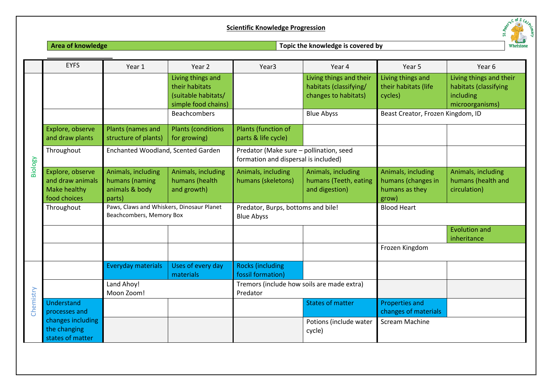### **Scientific Knowledge Progression**



# **Area of knowledge Topic the knowledge is covered by**

|           | <b>EYFS</b>                                                          | Year 1                                                                | Year 2                                                                            | Year <sub>3</sub>                                                               | Year 4                                                                    | Year 5                                                              | Year 6                                                                           |
|-----------|----------------------------------------------------------------------|-----------------------------------------------------------------------|-----------------------------------------------------------------------------------|---------------------------------------------------------------------------------|---------------------------------------------------------------------------|---------------------------------------------------------------------|----------------------------------------------------------------------------------|
| Biology   |                                                                      |                                                                       | Living things and<br>their habitats<br>(suitable habitats/<br>simple food chains) |                                                                                 | Living things and their<br>habitats (classifying/<br>changes to habitats) | Living things and<br>their habitats (life<br>cycles)                | Living things and their<br>habitats (classifying<br>including<br>microorganisms) |
|           |                                                                      |                                                                       | <b>Beachcombers</b>                                                               |                                                                                 | <b>Blue Abyss</b>                                                         | Beast Creator, Frozen Kingdom, ID                                   |                                                                                  |
|           | Explore, observe<br>and draw plants                                  | Plants (names and<br>structure of plants)                             | <b>Plants (conditions</b><br>for growing)                                         | Plants (function of<br>parts & life cycle)                                      |                                                                           |                                                                     |                                                                                  |
|           | Throughout                                                           | Enchanted Woodland, Scented Garden                                    |                                                                                   | Predator (Make sure - pollination, seed<br>formation and dispersal is included) |                                                                           |                                                                     |                                                                                  |
|           | Explore, observe<br>and draw animals<br>Make healthy<br>food choices | Animals, including<br>humans (naming<br>animals & body<br>parts)      | Animals, including<br>humans (health<br>and growth)                               | Animals, including<br>humans (skeletons)                                        | Animals, including<br>humans (Teeth, eating<br>and digestion)             | Animals, including<br>humans (changes in<br>humans as they<br>grow) | Animals, including<br>humans (health and<br>circulation)                         |
|           | Throughout                                                           | Paws, Claws and Whiskers, Dinosaur Planet<br>Beachcombers, Memory Box |                                                                                   | Predator, Burps, bottoms and bile!<br><b>Blue Abyss</b>                         |                                                                           | <b>Blood Heart</b>                                                  |                                                                                  |
|           |                                                                      |                                                                       |                                                                                   |                                                                                 |                                                                           |                                                                     | <b>Evolution and</b><br>inheritance                                              |
|           |                                                                      |                                                                       |                                                                                   |                                                                                 |                                                                           | Frozen Kingdom                                                      |                                                                                  |
| Chemistry |                                                                      | Everyday materials                                                    | Uses of every day<br>materials                                                    | <b>Rocks (including</b><br>fossil formation)                                    |                                                                           |                                                                     |                                                                                  |
|           |                                                                      | Land Ahoy!<br>Moon Zoom!                                              |                                                                                   | Tremors (include how soils are made extra)<br>Predator                          |                                                                           |                                                                     |                                                                                  |
|           | Understand<br>processes and                                          |                                                                       |                                                                                   |                                                                                 | <b>States of matter</b>                                                   | <b>Properties and</b><br>changes of materials                       |                                                                                  |
|           | changes including<br>the changing<br>states of matter                |                                                                       |                                                                                   |                                                                                 | Potions (include water<br>cycle)                                          | <b>Scream Machine</b>                                               |                                                                                  |